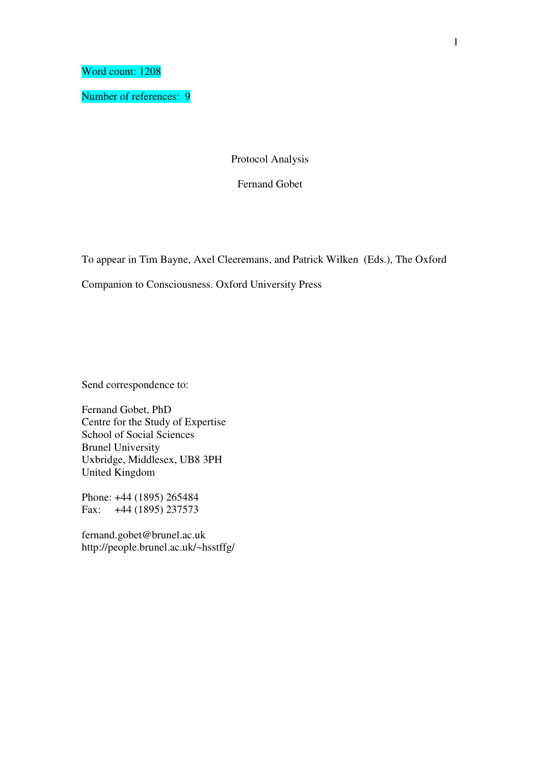Word count: 1208

Number of references: 9

Protocol Analysis

Fernand Gobet

To appear in Tim Bayne, Axel Cleeremans, and Patrick Wilken (Eds.), The Oxford

Companion to Consciousness. Oxford University Press

Send correspondence to:

Fernand Gobet, PhD Centre for the Study of Expertise School of Social Sciences Brunel University Uxbridge, Middlesex, UB8 3PH United Kingdom

Phone: +44 (1895) 265484 Fax: +44 (1895) 237573

fernand.gobet@brunel.ac.uk http://people.brunel.ac.uk/~hsstffg/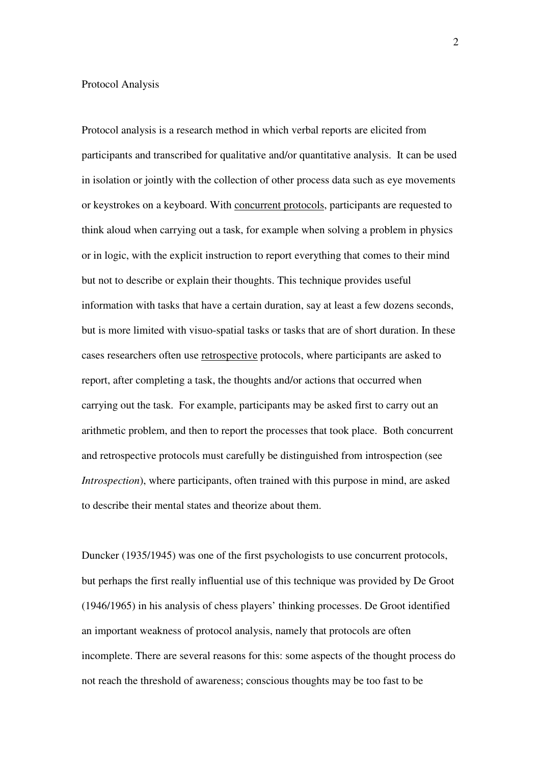## Protocol Analysis

Protocol analysis is a research method in which verbal reports are elicited from participants and transcribed for qualitative and/or quantitative analysis. It can be used in isolation or jointly with the collection of other process data such as eye movements or keystrokes on a keyboard. With concurrent protocols, participants are requested to think aloud when carrying out a task, for example when solving a problem in physics or in logic, with the explicit instruction to report everything that comes to their mind but not to describe or explain their thoughts. This technique provides useful information with tasks that have a certain duration, say at least a few dozens seconds, but is more limited with visuo-spatial tasks or tasks that are of short duration. In these cases researchers often use retrospective protocols, where participants are asked to report, after completing a task, the thoughts and/or actions that occurred when carrying out the task. For example, participants may be asked first to carry out an arithmetic problem, and then to report the processes that took place. Both concurrent and retrospective protocols must carefully be distinguished from introspection (see *Introspection*), where participants, often trained with this purpose in mind, are asked to describe their mental states and theorize about them.

Duncker (1935/1945) was one of the first psychologists to use concurrent protocols, but perhaps the first really influential use of this technique was provided by De Groot (1946/1965) in his analysis of chess players' thinking processes. De Groot identified an important weakness of protocol analysis, namely that protocols are often incomplete. There are several reasons for this: some aspects of the thought process do not reach the threshold of awareness; conscious thoughts may be too fast to be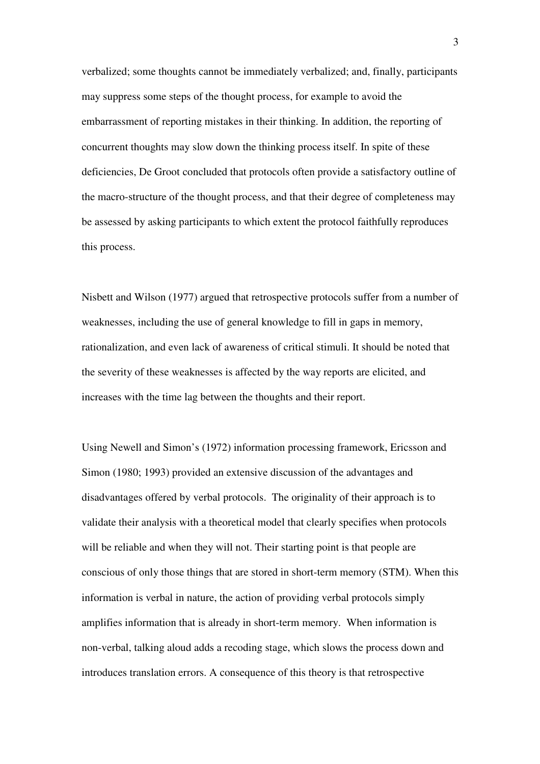verbalized; some thoughts cannot be immediately verbalized; and, finally, participants may suppress some steps of the thought process, for example to avoid the embarrassment of reporting mistakes in their thinking. In addition, the reporting of concurrent thoughts may slow down the thinking process itself. In spite of these deficiencies, De Groot concluded that protocols often provide a satisfactory outline of the macro-structure of the thought process, and that their degree of completeness may be assessed by asking participants to which extent the protocol faithfully reproduces this process.

Nisbett and Wilson (1977) argued that retrospective protocols suffer from a number of weaknesses, including the use of general knowledge to fill in gaps in memory, rationalization, and even lack of awareness of critical stimuli. It should be noted that the severity of these weaknesses is affected by the way reports are elicited, and increases with the time lag between the thoughts and their report.

Using Newell and Simon's (1972) information processing framework, Ericsson and Simon (1980; 1993) provided an extensive discussion of the advantages and disadvantages offered by verbal protocols. The originality of their approach is to validate their analysis with a theoretical model that clearly specifies when protocols will be reliable and when they will not. Their starting point is that people are conscious of only those things that are stored in short-term memory (STM). When this information is verbal in nature, the action of providing verbal protocols simply amplifies information that is already in short-term memory. When information is non-verbal, talking aloud adds a recoding stage, which slows the process down and introduces translation errors. A consequence of this theory is that retrospective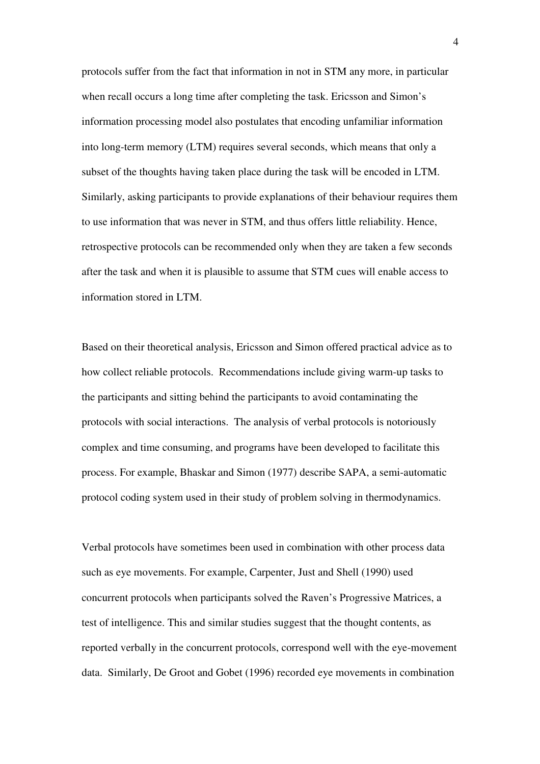protocols suffer from the fact that information in not in STM any more, in particular when recall occurs a long time after completing the task. Ericsson and Simon's information processing model also postulates that encoding unfamiliar information into long-term memory (LTM) requires several seconds, which means that only a subset of the thoughts having taken place during the task will be encoded in LTM. Similarly, asking participants to provide explanations of their behaviour requires them to use information that was never in STM, and thus offers little reliability. Hence, retrospective protocols can be recommended only when they are taken a few seconds after the task and when it is plausible to assume that STM cues will enable access to information stored in LTM.

Based on their theoretical analysis, Ericsson and Simon offered practical advice as to how collect reliable protocols. Recommendations include giving warm-up tasks to the participants and sitting behind the participants to avoid contaminating the protocols with social interactions. The analysis of verbal protocols is notoriously complex and time consuming, and programs have been developed to facilitate this process. For example, Bhaskar and Simon (1977) describe SAPA, a semi-automatic protocol coding system used in their study of problem solving in thermodynamics.

Verbal protocols have sometimes been used in combination with other process data such as eye movements. For example, Carpenter, Just and Shell (1990) used concurrent protocols when participants solved the Raven's Progressive Matrices, a test of intelligence. This and similar studies suggest that the thought contents, as reported verbally in the concurrent protocols, correspond well with the eye-movement data. Similarly, De Groot and Gobet (1996) recorded eye movements in combination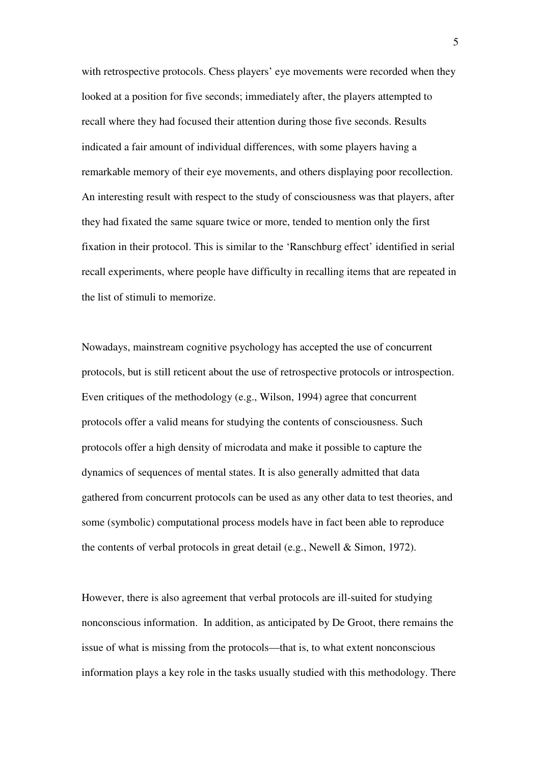with retrospective protocols. Chess players' eye movements were recorded when they looked at a position for five seconds; immediately after, the players attempted to recall where they had focused their attention during those five seconds. Results indicated a fair amount of individual differences, with some players having a remarkable memory of their eye movements, and others displaying poor recollection. An interesting result with respect to the study of consciousness was that players, after they had fixated the same square twice or more, tended to mention only the first fixation in their protocol. This is similar to the 'Ranschburg effect' identified in serial recall experiments, where people have difficulty in recalling items that are repeated in the list of stimuli to memorize.

Nowadays, mainstream cognitive psychology has accepted the use of concurrent protocols, but is still reticent about the use of retrospective protocols or introspection. Even critiques of the methodology (e.g., Wilson, 1994) agree that concurrent protocols offer a valid means for studying the contents of consciousness. Such protocols offer a high density of microdata and make it possible to capture the dynamics of sequences of mental states. It is also generally admitted that data gathered from concurrent protocols can be used as any other data to test theories, and some (symbolic) computational process models have in fact been able to reproduce the contents of verbal protocols in great detail (e.g., Newell & Simon, 1972).

However, there is also agreement that verbal protocols are ill-suited for studying nonconscious information. In addition, as anticipated by De Groot, there remains the issue of what is missing from the protocols—that is, to what extent nonconscious information plays a key role in the tasks usually studied with this methodology. There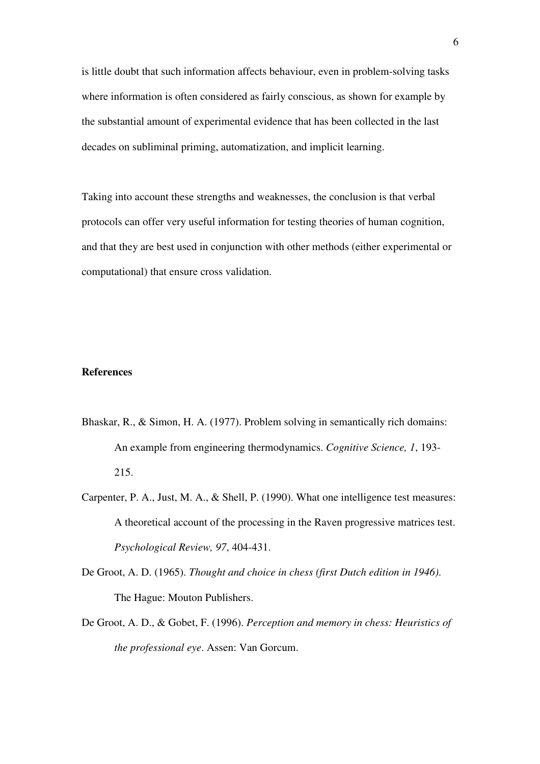is little doubt that such information affects behaviour, even in problem-solving tasks where information is often considered as fairly conscious, as shown for example by the substantial amount of experimental evidence that has been collected in the last decades on subliminal priming, automatization, and implicit learning.

Taking into account these strengths and weaknesses, the conclusion is that verbal protocols can offer very useful information for testing theories of human cognition, and that they are best used in conjunction with other methods (either experimental or computational) that ensure cross validation.

## **References**

- Bhaskar, R., & Simon, H. A. (1977). Problem solving in semantically rich domains: An example from engineering thermodynamics. *Cognitive Science, 1*, 193- 215.
- Carpenter, P. A., Just, M. A., & Shell, P. (1990). What one intelligence test measures: A theoretical account of the processing in the Raven progressive matrices test. *Psychological Review, 97*, 404-431.
- De Groot, A. D. (1965). *Thought and choice in chess (first Dutch edition in 1946)*. The Hague: Mouton Publishers.
- De Groot, A. D., & Gobet, F. (1996). *Perception and memory in chess: Heuristics of the professional eye*. Assen: Van Gorcum.